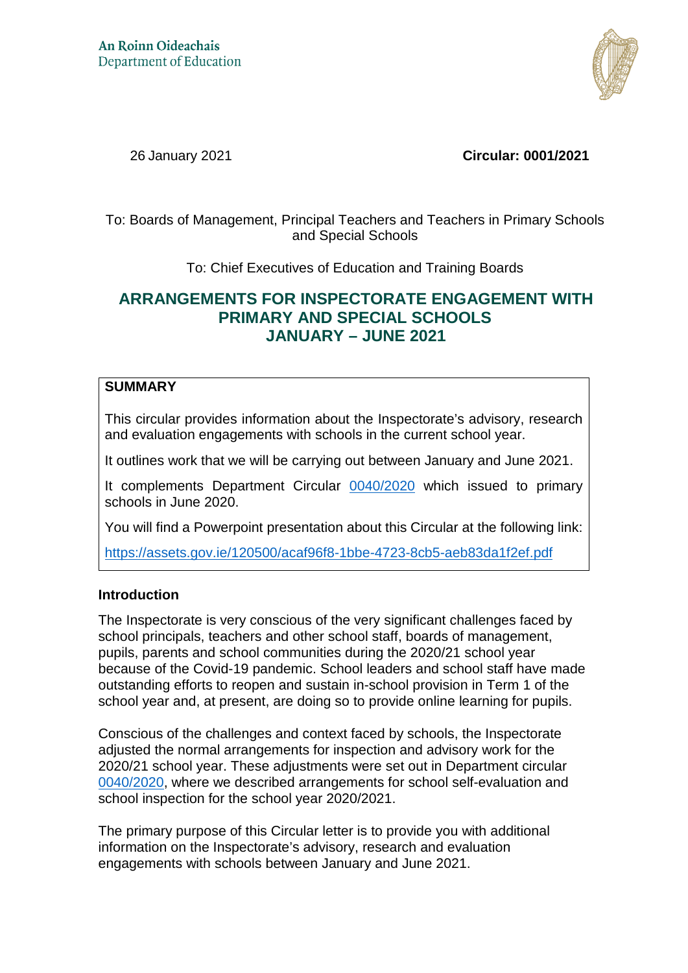

26 January 2021 **Circular: 0001/2021**

To: Boards of Management, Principal Teachers and Teachers in Primary Schools and Special Schools

To: Chief Executives of Education and Training Boards

# **ARRANGEMENTS FOR INSPECTORATE ENGAGEMENT WITH PRIMARY AND SPECIAL SCHOOLS JANUARY – JUNE 2021**

# **SUMMARY**

This circular provides information about the Inspectorate's advisory, research and evaluation engagements with schools in the current school year.

It outlines work that we will be carrying out between January and June 2021.

It complements Department Circular [0040/2020](https://www.gov.ie/en/circular/5f5b9-arrangements-for-the-inspection-and-school-self-evaluation-for-the-20202021-school-year/pageNumber=3) which issued to primary schools in June 2020.

You will find a Powerpoint presentation about this Circular at the following link:

<https://assets.gov.ie/120500/acaf96f8-1bbe-4723-8cb5-aeb83da1f2ef.pdf>

### **Introduction**

The Inspectorate is very conscious of the very significant challenges faced by school principals, teachers and other school staff, boards of management, pupils, parents and school communities during the 2020/21 school year because of the Covid-19 pandemic. School leaders and school staff have made outstanding efforts to reopen and sustain in-school provision in Term 1 of the school year and, at present, are doing so to provide online learning for pupils.

Conscious of the challenges and context faced by schools, the Inspectorate adjusted the normal arrangements for inspection and advisory work for the 2020/21 school year. These adjustments were set out in Department circular [0040/2020,](https://www.gov.ie/en/circular/5f5b9-arrangements-for-the-inspection-and-school-self-evaluation-for-the-20202021-school-year/pageNumber=3) where we described arrangements for school self-evaluation and school inspection for the school year 2020/2021.

The primary purpose of this Circular letter is to provide you with additional information on the Inspectorate's advisory, research and evaluation engagements with schools between January and June 2021.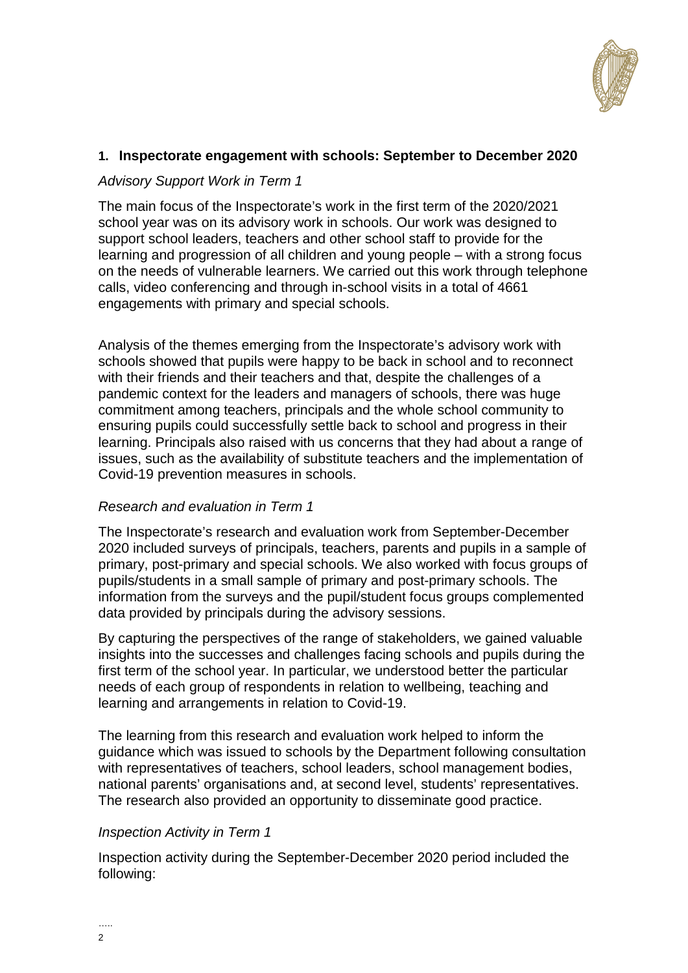

### **1. Inspectorate engagement with schools: September to December 2020**

### *Advisory Support Work in Term 1*

The main focus of the Inspectorate's work in the first term of the 2020/2021 school year was on its advisory work in schools. Our work was designed to support school leaders, teachers and other school staff to provide for the learning and progression of all children and young people – with a strong focus on the needs of vulnerable learners. We carried out this work through telephone calls, video conferencing and through in-school visits in a total of 4661 engagements with primary and special schools.

Analysis of the themes emerging from the Inspectorate's advisory work with schools showed that pupils were happy to be back in school and to reconnect with their friends and their teachers and that, despite the challenges of a pandemic context for the leaders and managers of schools, there was huge commitment among teachers, principals and the whole school community to ensuring pupils could successfully settle back to school and progress in their learning. Principals also raised with us concerns that they had about a range of issues, such as the availability of substitute teachers and the implementation of Covid-19 prevention measures in schools.

### *Research and evaluation in Term 1*

The Inspectorate's research and evaluation work from September-December 2020 included surveys of principals, teachers, parents and pupils in a sample of primary, post-primary and special schools. We also worked with focus groups of pupils/students in a small sample of primary and post-primary schools. The information from the surveys and the pupil/student focus groups complemented data provided by principals during the advisory sessions.

By capturing the perspectives of the range of stakeholders, we gained valuable insights into the successes and challenges facing schools and pupils during the first term of the school year. In particular, we understood better the particular needs of each group of respondents in relation to wellbeing, teaching and learning and arrangements in relation to Covid-19.

The learning from this research and evaluation work helped to inform the guidance which was issued to schools by the Department following consultation with representatives of teachers, school leaders, school management bodies, national parents' organisations and, at second level, students' representatives. The research also provided an opportunity to disseminate good practice.

### *Inspection Activity in Term 1*

Inspection activity during the September-December 2020 period included the following: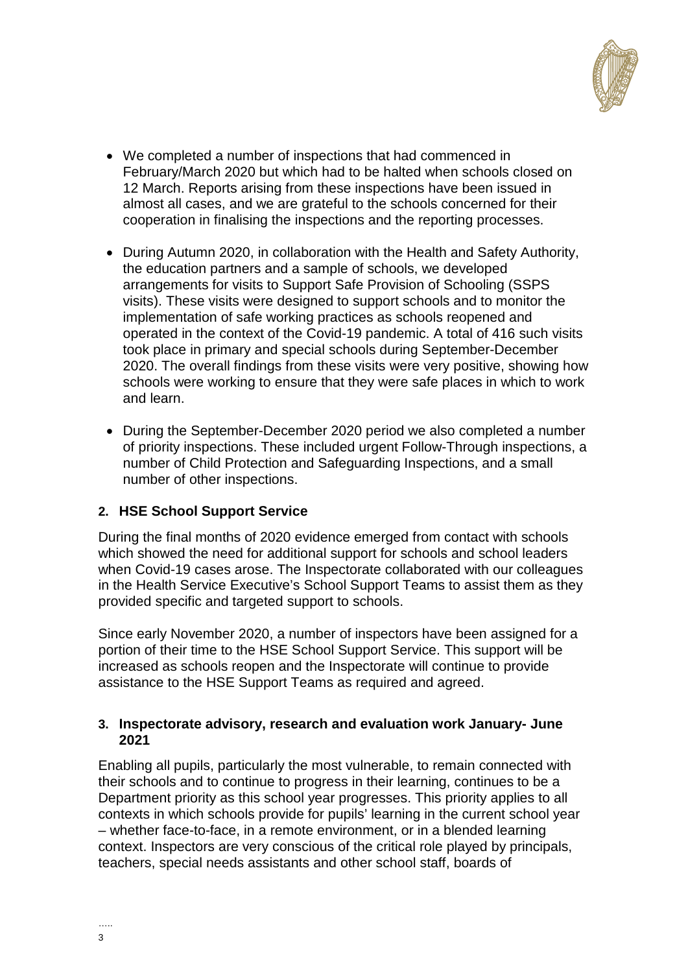

- We completed a number of inspections that had commenced in February/March 2020 but which had to be halted when schools closed on 12 March. Reports arising from these inspections have been issued in almost all cases, and we are grateful to the schools concerned for their cooperation in finalising the inspections and the reporting processes.
- During Autumn 2020, in collaboration with the Health and Safety Authority, the education partners and a sample of schools, we developed arrangements for visits to Support Safe Provision of Schooling (SSPS visits). These visits were designed to support schools and to monitor the implementation of safe working practices as schools reopened and operated in the context of the Covid-19 pandemic. A total of 416 such visits took place in primary and special schools during September-December 2020. The overall findings from these visits were very positive, showing how schools were working to ensure that they were safe places in which to work and learn.
- During the September-December 2020 period we also completed a number of priority inspections. These included urgent Follow-Through inspections, a number of Child Protection and Safeguarding Inspections, and a small number of other inspections.

# **2. HSE School Support Service**

During the final months of 2020 evidence emerged from contact with schools which showed the need for additional support for schools and school leaders when Covid-19 cases arose. The Inspectorate collaborated with our colleagues in the Health Service Executive's School Support Teams to assist them as they provided specific and targeted support to schools.

Since early November 2020, a number of inspectors have been assigned for a portion of their time to the HSE School Support Service. This support will be increased as schools reopen and the Inspectorate will continue to provide assistance to the HSE Support Teams as required and agreed.

### **3. Inspectorate advisory, research and evaluation work January- June 2021**

Enabling all pupils, particularly the most vulnerable, to remain connected with their schools and to continue to progress in their learning, continues to be a Department priority as this school year progresses. This priority applies to all contexts in which schools provide for pupils' learning in the current school year – whether face-to-face, in a remote environment, or in a blended learning context. Inspectors are very conscious of the critical role played by principals, teachers, special needs assistants and other school staff, boards of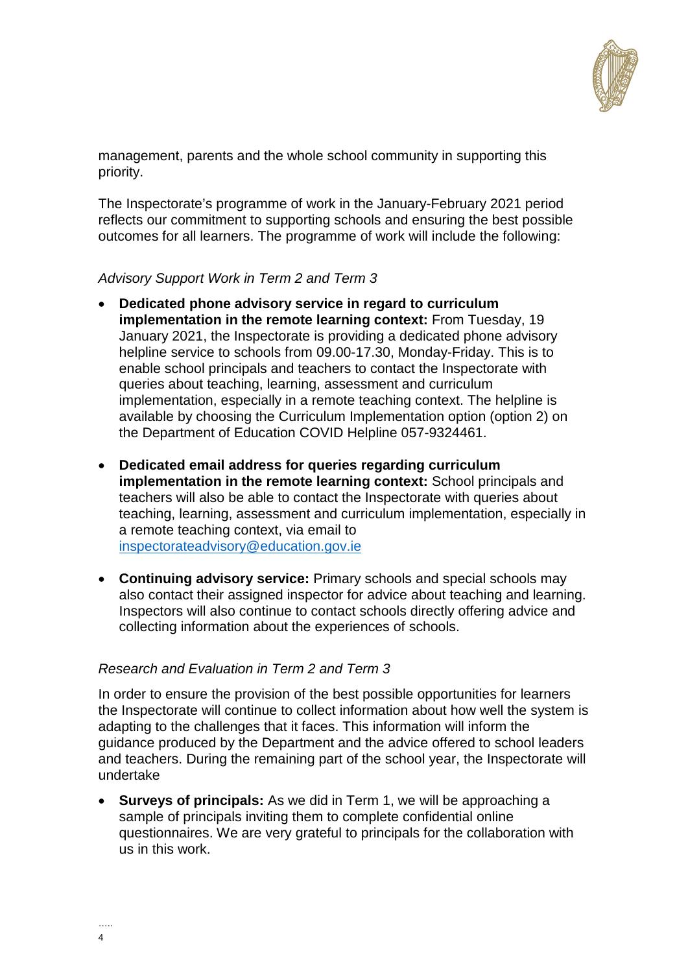

management, parents and the whole school community in supporting this priority.

The Inspectorate's programme of work in the January-February 2021 period reflects our commitment to supporting schools and ensuring the best possible outcomes for all learners. The programme of work will include the following:

### *Advisory Support Work in Term 2 and Term 3*

- **Dedicated phone advisory service in regard to curriculum implementation in the remote learning context:** From Tuesday, 19 January 2021, the Inspectorate is providing a dedicated phone advisory helpline service to schools from 09.00-17.30, Monday-Friday. This is to enable school principals and teachers to contact the Inspectorate with queries about teaching, learning, assessment and curriculum implementation, especially in a remote teaching context. The helpline is available by choosing the Curriculum Implementation option (option 2) on the Department of Education COVID Helpline 057-9324461.
- **Dedicated email address for queries regarding curriculum implementation in the remote learning context:** School principals and teachers will also be able to contact the Inspectorate with queries about teaching, learning, assessment and curriculum implementation, especially in a remote teaching context, via email to [inspectorateadvisory@education.gov.ie](mailto:inspectorateadvisory@education.gov.ie)
- **Continuing advisory service:** Primary schools and special schools may also contact their assigned inspector for advice about teaching and learning. Inspectors will also continue to contact schools directly offering advice and collecting information about the experiences of schools.

### *Research and Evaluation in Term 2 and Term 3*

In order to ensure the provision of the best possible opportunities for learners the Inspectorate will continue to collect information about how well the system is adapting to the challenges that it faces. This information will inform the guidance produced by the Department and the advice offered to school leaders and teachers. During the remaining part of the school year, the Inspectorate will undertake

 **Surveys of principals:** As we did in Term 1, we will be approaching a sample of principals inviting them to complete confidential online questionnaires. We are very grateful to principals for the collaboration with us in this work.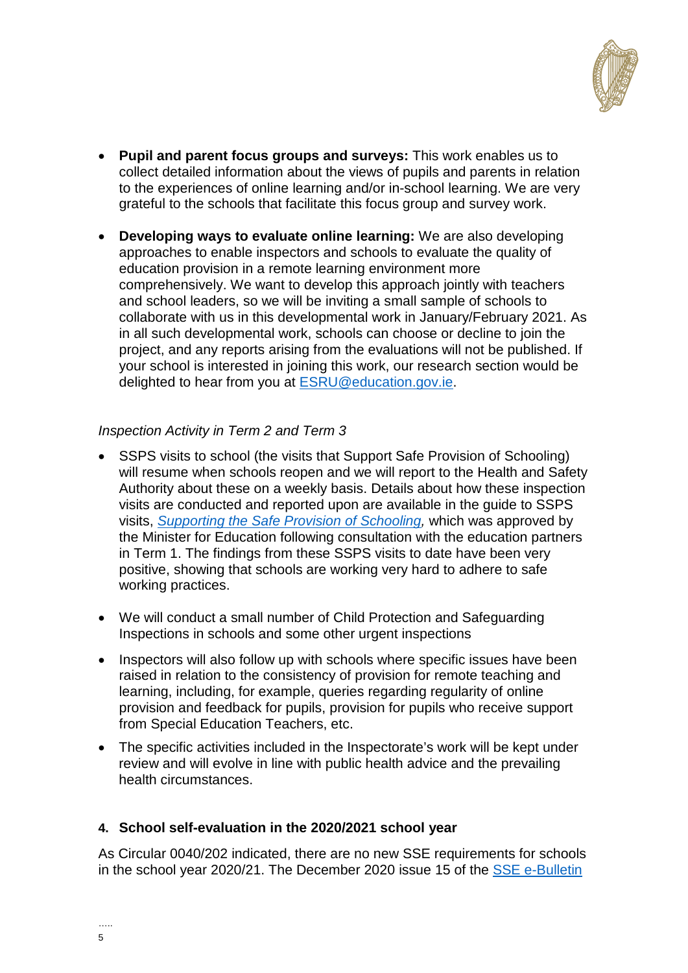

- **Pupil and parent focus groups and surveys:** This work enables us to collect detailed information about the views of pupils and parents in relation to the experiences of online learning and/or in-school learning. We are very grateful to the schools that facilitate this focus group and survey work.
- **Developing ways to evaluate online learning:** We are also developing approaches to enable inspectors and schools to evaluate the quality of education provision in a remote learning environment more comprehensively. We want to develop this approach jointly with teachers and school leaders, so we will be inviting a small sample of schools to collaborate with us in this developmental work in January/February 2021. As in all such developmental work, schools can choose or decline to join the project, and any reports arising from the evaluations will not be published. If your school is interested in joining this work, our research section would be delighted to hear from you at [ESRU@education.gov.ie.](mailto:ESRU@education.gov.ie)

# *Inspection Activity in Term 2 and Term 3*

- SSPS visits to school (the visits that Support Safe Provision of Schooling) will resume when schools reopen and we will report to the Health and Safety Authority about these on a weekly basis. Details about how these inspection visits are conducted and reported upon are available in the guide to SSPS visits, *[Supporting the Safe Provision of Schooling,](https://assets.gov.ie/120497/53c35b1c-3692-4ffc-a87e-3024a4ce7264.pdf)* which was approved by the Minister for Education following consultation with the education partners in Term 1. The findings from these SSPS visits to date have been very positive, showing that schools are working very hard to adhere to safe working practices.
- We will conduct a small number of Child Protection and Safeguarding Inspections in schools and some other urgent inspections
- Inspectors will also follow up with schools where specific issues have been raised in relation to the consistency of provision for remote teaching and learning, including, for example, queries regarding regularity of online provision and feedback for pupils, provision for pupils who receive support from Special Education Teachers, etc.
- The specific activities included in the Inspectorate's work will be kept under review and will evolve in line with public health advice and the prevailing health circumstances.

### **4. School self-evaluation in the 2020/2021 school year**

As Circular 0040/202 indicated, there are no new SSE requirements for schools in the school year 2020/21. The December 2020 issue 15 of the [SSE e-Bulletin](http://schoolself-evaluation.ie/primary/wp-content/uploads/sites/2/2020/12/SSE15_Primary_EN.pdf)